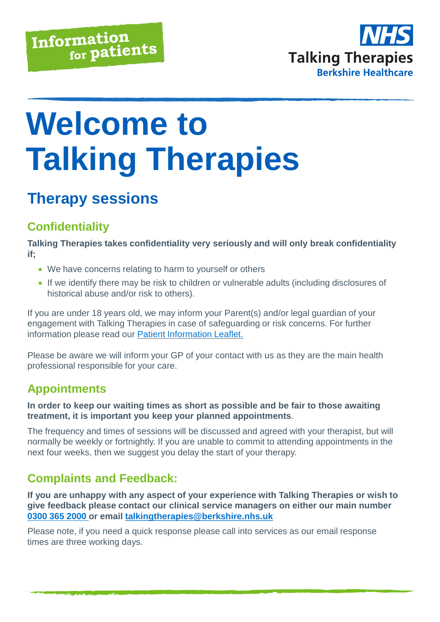

# **Welcome to Talking Therapies**

# **Therapy sessions**

# **Confidentiality**

**Talking Therapies takes confidentiality very seriously and will only break confidentiality if;** 

- We have concerns relating to harm to yourself or others
- If we identify there may be risk to children or vulnerable adults (including disclosures of historical abuse and/or risk to others).

If you are under 18 years old, we may inform your Parent(s) and/or legal guardian of your engagement with Talking Therapies in case of safeguarding or risk concerns. For further information please read our [Patient Information Leaflet.](https://talkingtherapies.berkshirehealthcare.nhs.uk/media/33429319/use-of-patient-information-talking-therapies-berkshire.pdf)

Please be aware we will inform your GP of your contact with us as they are the main health professional responsible for your care.

# **Appointments**

**In order to keep our waiting times as short as possible and be fair to those awaiting treatment, it is important you keep your planned appointments**.

The frequency and times of sessions will be discussed and agreed with your therapist, but will normally be weekly or fortnightly. If you are unable to commit to attending appointments in the next four weeks, then we suggest you delay the start of your therapy.

## **Complaints and Feedback:**

**If you are unhappy with any aspect of your experience with Talking Therapies or wish to give feedback please contact our clinical service managers on either our main number [0300 365 2000](0300%20365%202000) or email [talkingtherapies@berkshire.nhs.uk](mailto:talkingtherapies@berkshire.nhs.uk)**

Please note, if you need a quick response please call into services as our email response times are three working days.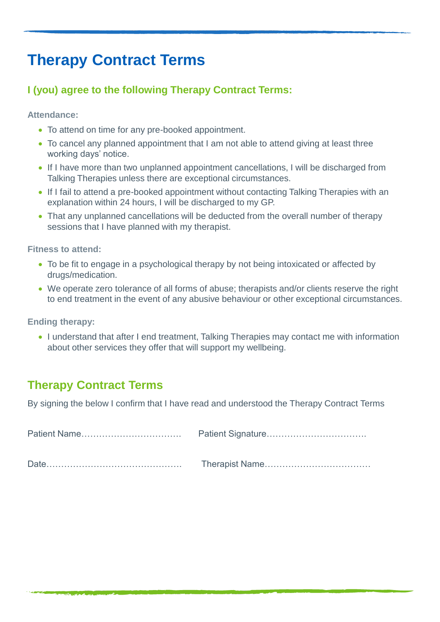# **Therapy Contract Terms**

#### **I (you) agree to the following Therapy Contract Terms:**

**Attendance:**

- To attend on time for any pre-booked appointment.
- To cancel any planned appointment that I am not able to attend giving at least three working days' notice.
- If I have more than two unplanned appointment cancellations, I will be discharged from Talking Therapies unless there are exceptional circumstances.
- If I fail to attend a pre-booked appointment without contacting Talking Therapies with an explanation within 24 hours, I will be discharged to my GP.
- That any unplanned cancellations will be deducted from the overall number of therapy sessions that I have planned with my therapist.

**Fitness to attend:**

- To be fit to engage in a psychological therapy by not being intoxicated or affected by drugs/medication.
- We operate zero tolerance of all forms of abuse; therapists and/or clients reserve the right to end treatment in the event of any abusive behaviour or other exceptional circumstances.

**Ending therapy:**

• I understand that after I end treatment. Talking Therapies may contact me with information about other services they offer that will support my wellbeing.

## **Therapy Contract Terms**

By signing the below I confirm that I have read and understood the Therapy Contract Terms